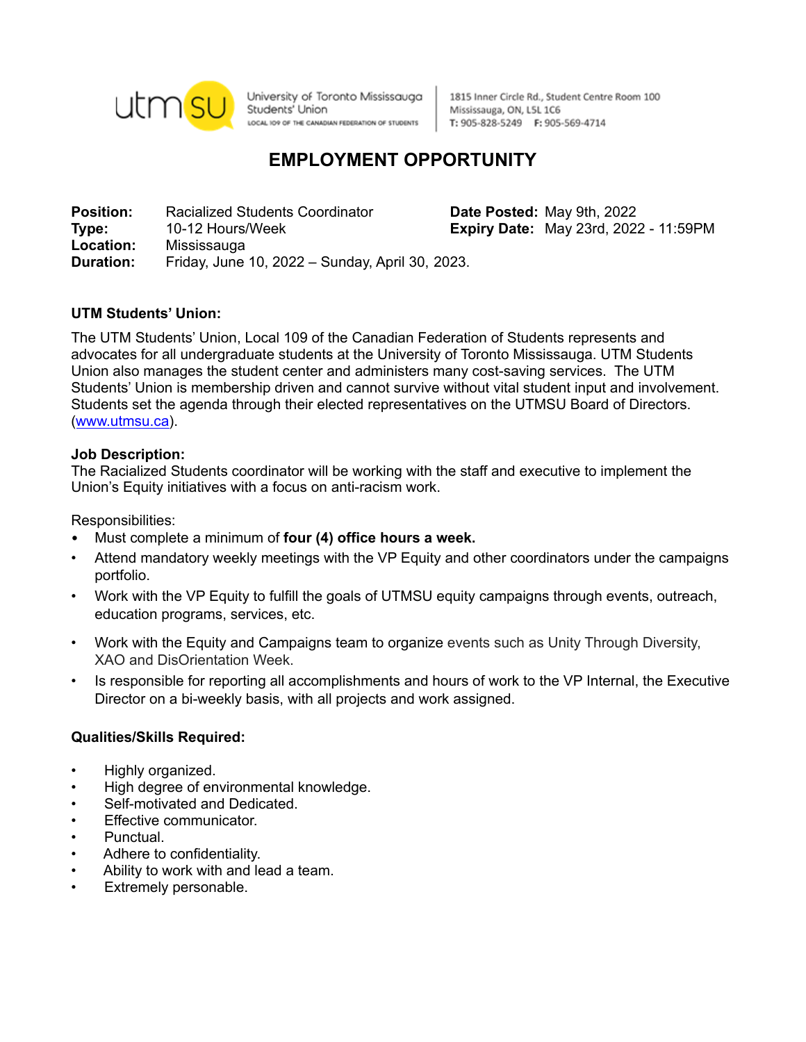

University of Toronto Mississauga Students' Union LOCAL IO9 OF THE CANADIAN FEDERATION OF STUDENTS

1815 Inner Circle Rd., Student Centre Room 100 Mississauga, ON, L5L 1C6 T: 905-828-5249 F: 905-569-4714

# **EMPLOYMENT OPPORTUNITY**

**Position:** Racialized Students Coordinator **Date Posted:** May 9th, 2022 **Type:** 10-12 Hours/Week **Expiry Date:** May 23rd, 2022 - 11:59PM **Location:** Mississauga **Duration:** Friday, June 10, 2022 – Sunday, April 30, 2023.

# **UTM Students' Union:**

The UTM Students' Union, Local 109 of the Canadian Federation of Students represents and advocates for all undergraduate students at the University of Toronto Mississauga. UTM Students Union also manages the student center and administers many cost-saving services. The UTM Students' Union is membership driven and cannot survive without vital student input and involvement. Students set the agenda through their elected representatives on the UTMSU Board of Directors. ([www.utmsu.ca\)](http://www.utmsu.ca).

## **Job Description:**

The Racialized Students coordinator will be working with the staff and executive to implement the Union's Equity initiatives with a focus on anti-racism work.

Responsibilities:

- Must complete a minimum of **four (4) office hours a week.**
- Attend mandatory weekly meetings with the VP Equity and other coordinators under the campaigns portfolio.
- Work with the VP Equity to fulfill the goals of UTMSU equity campaigns through events, outreach, education programs, services, etc.
- Work with the Equity and Campaigns team to organize events such as Unity Through Diversity, XAO and DisOrientation Week.
- Is responsible for reporting all accomplishments and hours of work to the VP Internal, the Executive Director on a bi-weekly basis, with all projects and work assigned.

## **Qualities/Skills Required:**

- Highly organized.
- High degree of environmental knowledge.
- Self-motivated and Dedicated.
- Effective communicator.
- Punctual.
- Adhere to confidentiality.
- Ability to work with and lead a team.
- Extremely personable.